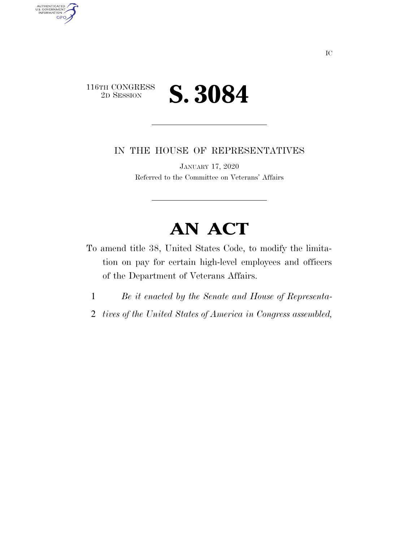

AUTHENTICATED<br>U.S. GOVERNMENT<br>INFORMATION

**GPO** 

IN THE HOUSE OF REPRESENTATIVES

JANUARY 17, 2020 Referred to the Committee on Veterans' Affairs

## **AN ACT**

- To amend title 38, United States Code, to modify the limitation on pay for certain high-level employees and officers of the Department of Veterans Affairs.
	- 1 *Be it enacted by the Senate and House of Representa-*
	- 2 *tives of the United States of America in Congress assembled,*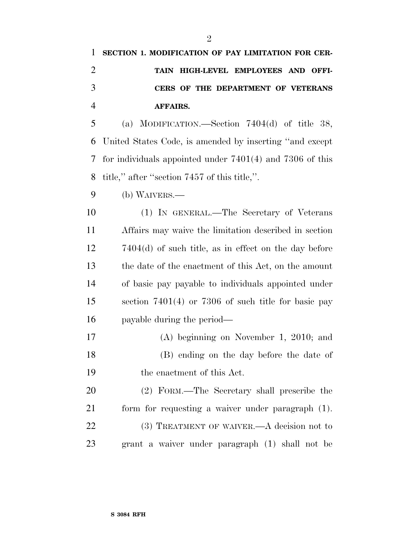## **SECTION 1. MODIFICATION OF PAY LIMITATION FOR CER- TAIN HIGH-LEVEL EMPLOYEES AND OFFI- CERS OF THE DEPARTMENT OF VETERANS AFFAIRS.**

 (a) MODIFICATION.—Section 7404(d) of title 38, United States Code, is amended by inserting ''and except for individuals appointed under 7401(4) and 7306 of this title,'' after ''section 7457 of this title,''.

(b) WAIVERS.—

 (1) IN GENERAL.—The Secretary of Veterans Affairs may waive the limitation described in section 7404(d) of such title, as in effect on the day before the date of the enactment of this Act, on the amount of basic pay payable to individuals appointed under section 7401(4) or 7306 of such title for basic pay payable during the period—

 (A) beginning on November 1, 2010; and (B) ending on the day before the date of the enactment of this Act.

 (2) FORM.—The Secretary shall prescribe the form for requesting a waiver under paragraph (1). 22 (3) TREATMENT OF WAIVER.—A decision not to grant a waiver under paragraph (1) shall not be